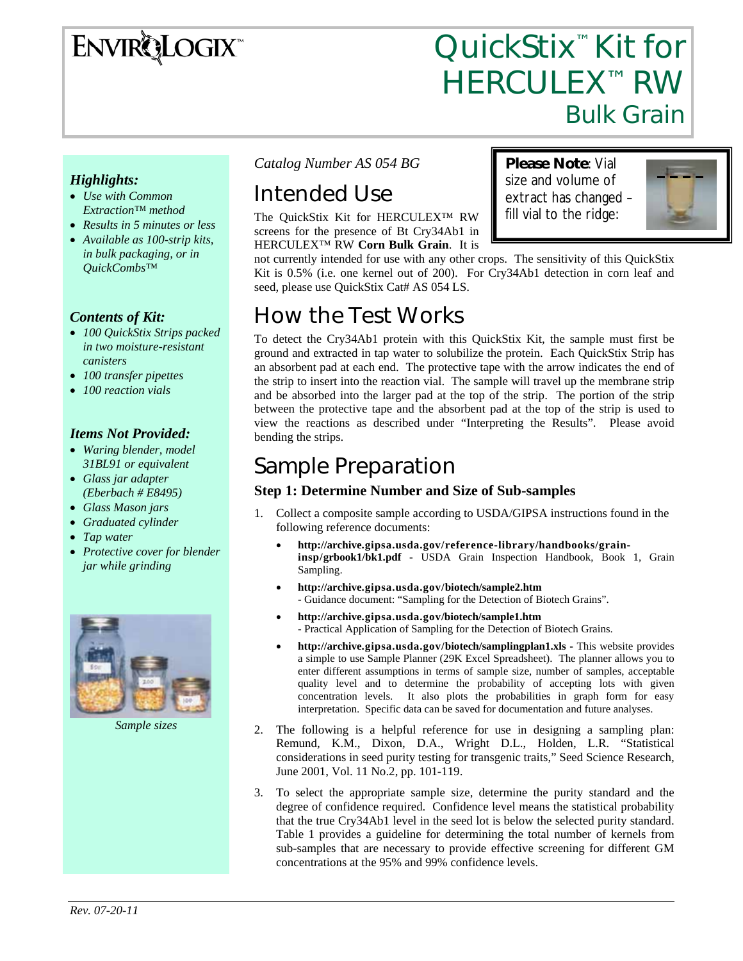# **ENVIRQLOGIX**

# QuickStix<sup>™</sup> Kit for **HERCULEX™ RW** Bulk Grain

**Please Note**: Vial size and volume of extract has changed – fill vial to the ridge:

#### *Highlights:*

- *Use with Common Extraction™ method*
- *Results in 5 minutes or less*
- *Available as 100-strip kits, in bulk packaging, or in QuickCombs™*

#### *Contents of Kit:*

- *100 QuickStix Strips packed in two moisture-resistant canisters*
- *100 transfer pipettes*
- *100 reaction vials*

#### *Items Not Provided:*

- *Waring blender, model 31BL91 or equivalent*
- *Glass jar adapter (Eberbach # E8495)*
- *Glass Mason jars*
- *Graduated cylinder*
- *Tap water*
- *Protective cover for blender jar while grinding*



*Sample sizes* 

*Catalog Number AS 054 BG* 

# Intended Use

The QuickStix Kit for HERCULEX™ RW screens for the presence of Bt Cry34Ab1 in HERCULEX™ RW **Corn Bulk Grain**. It is

not currently intended for use with any other crops. The sensitivity of this QuickStix Kit is 0.5% (i.e. one kernel out of 200). For Cry34Ab1 detection in corn leaf and seed, please use QuickStix Cat# AS 054 LS.

## How the Test Works

To detect the Cry34Ab1 protein with this QuickStix Kit, the sample must first be ground and extracted in tap water to solubilize the protein. Each QuickStix Strip has an absorbent pad at each end. The protective tape with the arrow indicates the end of the strip to insert into the reaction vial. The sample will travel up the membrane strip and be absorbed into the larger pad at the top of the strip. The portion of the strip between the protective tape and the absorbent pad at the top of the strip is used to view the reactions as described under "Interpreting the Results". Please avoid bending the strips.

## Sample Preparation

#### **Step 1: Determine Number and Size of Sub-samples**

- 1. Collect a composite sample according to USDA/GIPSA instructions found in the following reference documents:
	- **http://archive.gipsa.usda.gov/reference-library/handbooks/graininsp/grbook1/bk1.pdf** - USDA Grain Inspection Handbook, Book 1, Grain Sampling.
	- **http://archive.gipsa.usda.gov/biotech/sample2.htm** - Guidance document: "Sampling for the Detection of Biotech Grains".
	- **http://archive.gipsa.usda.gov/biotech/sample1.htm** - Practical Application of Sampling for the Detection of Biotech Grains.
	- **http://archive.gipsa.usda.gov/biotech/samplingplan1.xls** This website provides a simple to use Sample Planner (29K Excel Spreadsheet). The planner allows you to enter different assumptions in terms of sample size, number of samples, acceptable quality level and to determine the probability of accepting lots with given concentration levels. It also plots the probabilities in graph form for easy interpretation. Specific data can be saved for documentation and future analyses.
- 2. The following is a helpful reference for use in designing a sampling plan: Remund, K.M., Dixon, D.A., Wright D.L., Holden, L.R. "Statistical considerations in seed purity testing for transgenic traits," Seed Science Research, June 2001, Vol. 11 No.2, pp. 101-119.
- 3. To select the appropriate sample size, determine the purity standard and the degree of confidence required. Confidence level means the statistical probability that the true Cry34Ab1 level in the seed lot is below the selected purity standard. Table 1 provides a guideline for determining the total number of kernels from sub-samples that are necessary to provide effective screening for different GM concentrations at the 95% and 99% confidence levels.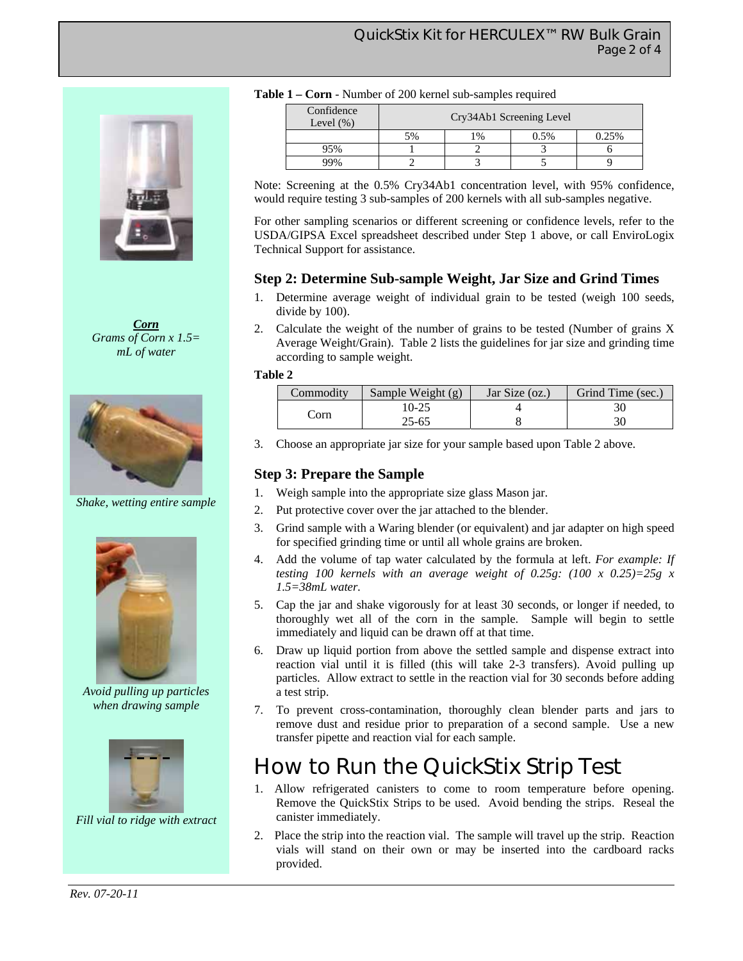

*Corn Grams of Corn x 1.5= mL of water* 



*Shake, wetting entire sample* 



*Avoid pulling up particles when drawing sample* 



*Fill vial to ridge with extract* 

| Table 1 – Corn - Number of 200 kernel sub-samples required |  |  |  |  |  |  |  |
|------------------------------------------------------------|--|--|--|--|--|--|--|
|------------------------------------------------------------|--|--|--|--|--|--|--|

| Confidence<br>Level $(\%)$ | Cry34Ab1 Screening Level |       |      |       |  |
|----------------------------|--------------------------|-------|------|-------|--|
|                            | 5%                       | $1\%$ | 0.5% | 0.25% |  |
| 75%                        |                          |       |      |       |  |
| 9%                         |                          |       |      |       |  |

Note: Screening at the 0.5% Cry34Ab1 concentration level, with 95% confidence, would require testing 3 sub-samples of 200 kernels with all sub-samples negative.

For other sampling scenarios or different screening or confidence levels, refer to the USDA/GIPSA Excel spreadsheet described under Step 1 above, or call EnviroLogix Technical Support for assistance.

#### **Step 2: Determine Sub-sample Weight, Jar Size and Grind Times**

- 1. Determine average weight of individual grain to be tested (weigh 100 seeds, divide by 100).
- 2. Calculate the weight of the number of grains to be tested (Number of grains X Average Weight/Grain). Table 2 lists the guidelines for jar size and grinding time according to sample weight.

#### **Table 2**

| Commodity | Sample Weight (g) | Jar Size (oz.) | Grind Time (sec.) |
|-----------|-------------------|----------------|-------------------|
|           | 10-25             |                |                   |
| orn       | 25-65             |                |                   |

3. Choose an appropriate jar size for your sample based upon Table 2 above.

#### **Step 3: Prepare the Sample**

- 1. Weigh sample into the appropriate size glass Mason jar.
- 2. Put protective cover over the jar attached to the blender.
- 3. Grind sample with a Waring blender (or equivalent) and jar adapter on high speed for specified grinding time or until all whole grains are broken.
- 4. Add the volume of tap water calculated by the formula at left. *For example: If testing 100 kernels with an average weight of 0.25g: (100 x 0.25)=25g x 1.5=38mL water.*
- 5. Cap the jar and shake vigorously for at least 30 seconds, or longer if needed, to thoroughly wet all of the corn in the sample. Sample will begin to settle immediately and liquid can be drawn off at that time.
- 6. Draw up liquid portion from above the settled sample and dispense extract into reaction vial until it is filled (this will take 2-3 transfers). Avoid pulling up particles. Allow extract to settle in the reaction vial for 30 seconds before adding a test strip.
- 7. To prevent cross-contamination, thoroughly clean blender parts and jars to remove dust and residue prior to preparation of a second sample. Use a new transfer pipette and reaction vial for each sample.

### How to Run the QuickStix Strip Test

- 1. Allow refrigerated canisters to come to room temperature before opening. Remove the QuickStix Strips to be used. Avoid bending the strips. Reseal the canister immediately.
- 2. Place the strip into the reaction vial. The sample will travel up the strip. Reaction vials will stand on their own or may be inserted into the cardboard racks provided.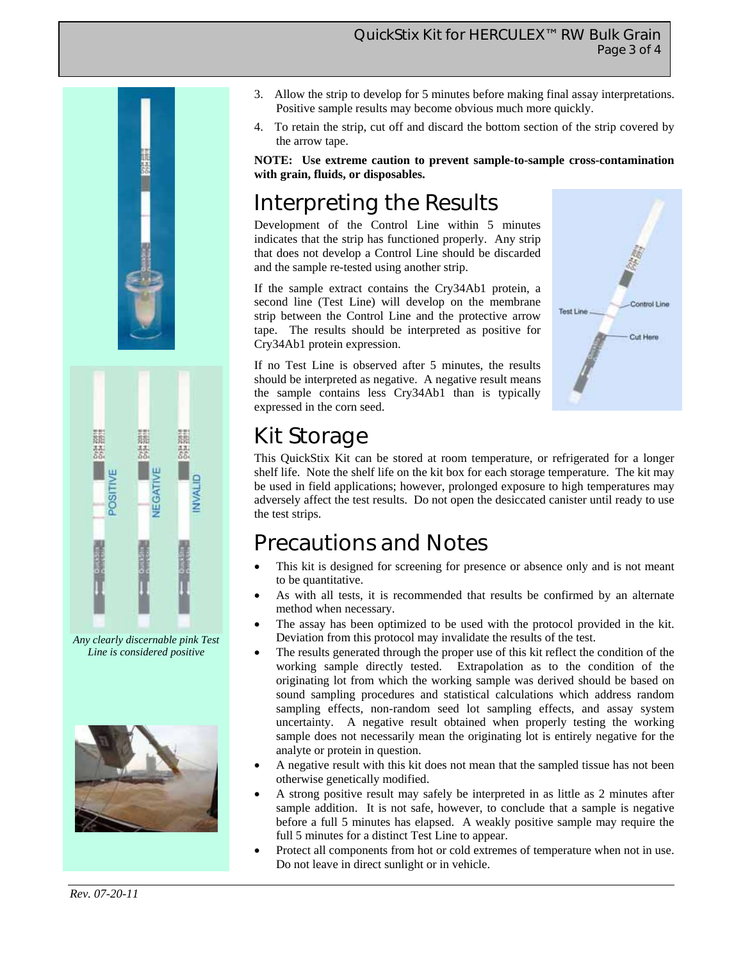





*Any clearly discernable pink Test Line is considered positive* 



- 3. Allow the strip to develop for 5 minutes before making final assay interpretations. Positive sample results may become obvious much more quickly.
- 4. To retain the strip, cut off and discard the bottom section of the strip covered by the arrow tape.

**NOTE: Use extreme caution to prevent sample-to-sample cross-contamination with grain, fluids, or disposables.** 

# Interpreting the Results

Development of the Control Line within 5 minutes indicates that the strip has functioned properly. Any strip that does not develop a Control Line should be discarded and the sample re-tested using another strip.

If the sample extract contains the Cry34Ab1 protein, a second line (Test Line) will develop on the membrane strip between the Control Line and the protective arrow tape. The results should be interpreted as positive for Cry34Ab1 protein expression.

If no Test Line is observed after 5 minutes, the results should be interpreted as negative. A negative result means the sample contains less Cry34Ab1 than is typically expressed in the corn seed.



# Kit Storage

This QuickStix Kit can be stored at room temperature, or refrigerated for a longer shelf life. Note the shelf life on the kit box for each storage temperature. The kit may be used in field applications; however, prolonged exposure to high temperatures may adversely affect the test results. Do not open the desiccated canister until ready to use the test strips.

### Precautions and Notes

- This kit is designed for screening for presence or absence only and is not meant to be quantitative.
- As with all tests, it is recommended that results be confirmed by an alternate method when necessary.
- The assay has been optimized to be used with the protocol provided in the kit. Deviation from this protocol may invalidate the results of the test.
- The results generated through the proper use of this kit reflect the condition of the working sample directly tested. Extrapolation as to the condition of the originating lot from which the working sample was derived should be based on sound sampling procedures and statistical calculations which address random sampling effects, non-random seed lot sampling effects, and assay system uncertainty. A negative result obtained when properly testing the working sample does not necessarily mean the originating lot is entirely negative for the analyte or protein in question.
- A negative result with this kit does not mean that the sampled tissue has not been otherwise genetically modified.
- A strong positive result may safely be interpreted in as little as 2 minutes after sample addition. It is not safe, however, to conclude that a sample is negative before a full 5 minutes has elapsed. A weakly positive sample may require the full 5 minutes for a distinct Test Line to appear.
- Protect all components from hot or cold extremes of temperature when not in use. Do not leave in direct sunlight or in vehicle.